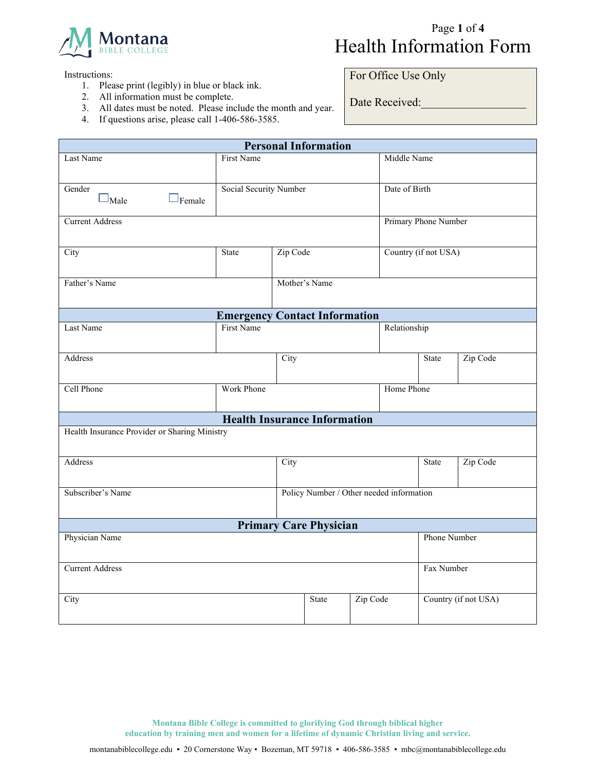

## Page **1** of **4**  Health Information Form

Instructions:

- 1. Please print (legibly) in blue or black ink.
- 2. All information must be complete.
- 3. All dates must be noted. Please include the month and year.
- 4. If questions arise, please call 1-406-586-3585.

For Office Use Only

Date Received:

| <b>Personal Information</b>                                   |                                      |      |                               |                      |       |              |                      |
|---------------------------------------------------------------|--------------------------------------|------|-------------------------------|----------------------|-------|--------------|----------------------|
| Last Name                                                     | <b>First Name</b>                    |      | Middle Name                   |                      |       |              |                      |
| Gender<br>$\square_{\text{Male}}$<br>$\Box$ Female            | Social Security Number               |      | Date of Birth                 |                      |       |              |                      |
| <b>Current Address</b>                                        |                                      |      |                               | Primary Phone Number |       |              |                      |
| City                                                          | Zip Code<br>State                    |      |                               | Country (if not USA) |       |              |                      |
| Father's Name                                                 | Mother's Name                        |      |                               |                      |       |              |                      |
|                                                               | <b>Emergency Contact Information</b> |      |                               |                      |       |              |                      |
| Last Name                                                     | <b>First Name</b>                    |      | Relationship                  |                      |       |              |                      |
| Address                                                       |                                      | City |                               |                      |       | State        | Zip Code             |
| Cell Phone                                                    | Work Phone                           |      | Home Phone                    |                      |       |              |                      |
|                                                               | <b>Health Insurance Information</b>  |      |                               |                      |       |              |                      |
| Health Insurance Provider or Sharing Ministry                 |                                      |      |                               |                      |       |              |                      |
| Address                                                       | City                                 |      |                               |                      | State | Zip Code     |                      |
| Policy Number / Other needed information<br>Subscriber's Name |                                      |      |                               |                      |       |              |                      |
|                                                               |                                      |      | <b>Primary Care Physician</b> |                      |       |              |                      |
| Physician Name                                                |                                      |      |                               |                      |       | Phone Number |                      |
| <b>Current Address</b>                                        |                                      |      |                               | Fax Number           |       |              |                      |
| City                                                          |                                      |      | <b>State</b>                  | Zip Code             |       |              | Country (if not USA) |
|                                                               |                                      |      |                               |                      |       |              |                      |

**Montana Bible College is committed to glorifying God through biblical higher education by training men and women for a lifetime of dynamic Christian living and service.**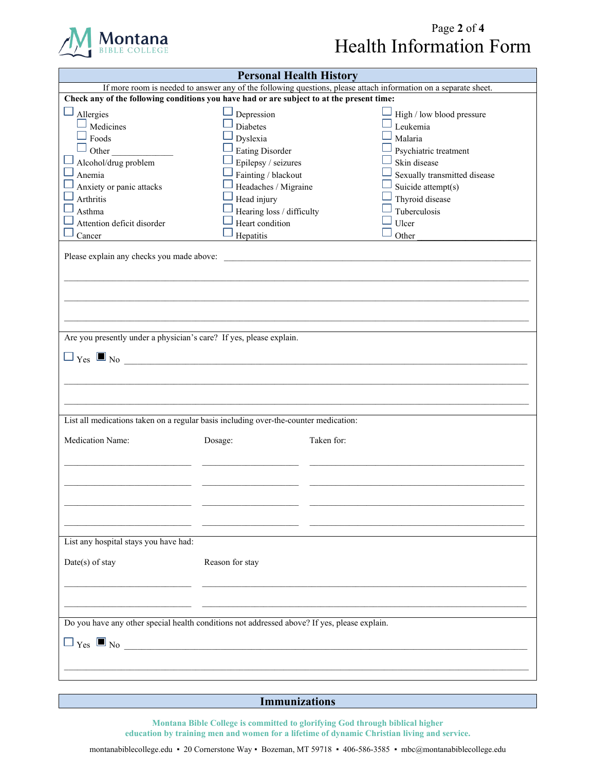

## Page **2** of **4**  Health Information Form

| <b>Personal Health History</b>                                                                                                                                                                                                                                                                                                                                                                    |                           |            |                              |  |
|---------------------------------------------------------------------------------------------------------------------------------------------------------------------------------------------------------------------------------------------------------------------------------------------------------------------------------------------------------------------------------------------------|---------------------------|------------|------------------------------|--|
| If more room is needed to answer any of the following questions, please attach information on a separate sheet.                                                                                                                                                                                                                                                                                   |                           |            |                              |  |
| Check any of the following conditions you have had or are subject to at the present time:                                                                                                                                                                                                                                                                                                         |                           |            |                              |  |
| Allergies                                                                                                                                                                                                                                                                                                                                                                                         | Depression                |            | High / low blood pressure    |  |
| Medicines                                                                                                                                                                                                                                                                                                                                                                                         | <b>Diabetes</b>           |            | Leukemia                     |  |
| Foods                                                                                                                                                                                                                                                                                                                                                                                             | Dyslexia                  |            | Malaria                      |  |
| Other                                                                                                                                                                                                                                                                                                                                                                                             | <b>Eating Disorder</b>    |            | Psychiatric treatment        |  |
| Alcohol/drug problem                                                                                                                                                                                                                                                                                                                                                                              | Epilepsy / seizures       |            | Skin disease                 |  |
| Anemia                                                                                                                                                                                                                                                                                                                                                                                            | Fainting / blackout       |            | Sexually transmitted disease |  |
| Anxiety or panic attacks                                                                                                                                                                                                                                                                                                                                                                          | Headaches / Migraine      |            | Suicide attempt(s)           |  |
| Arthritis                                                                                                                                                                                                                                                                                                                                                                                         | Head injury               |            | Thyroid disease              |  |
| Asthma                                                                                                                                                                                                                                                                                                                                                                                            | Hearing loss / difficulty |            | Tuberculosis                 |  |
| Attention deficit disorder                                                                                                                                                                                                                                                                                                                                                                        | Heart condition           |            | Ulcer                        |  |
| Cancer                                                                                                                                                                                                                                                                                                                                                                                            | Hepatitis                 |            | Other                        |  |
| Please explain any checks you made above:<br>Are you presently under a physician's care? If yes, please explain.                                                                                                                                                                                                                                                                                  |                           |            |                              |  |
| $\Box$ $\gamma$ <sub>es</sub> $\Box$ No                                                                                                                                                                                                                                                                                                                                                           |                           |            |                              |  |
| List all medications taken on a regular basis including over-the-counter medication:                                                                                                                                                                                                                                                                                                              |                           |            |                              |  |
| Medication Name:                                                                                                                                                                                                                                                                                                                                                                                  | Dosage:                   | Taken for: |                              |  |
|                                                                                                                                                                                                                                                                                                                                                                                                   |                           |            |                              |  |
| List any hospital stays you have had:                                                                                                                                                                                                                                                                                                                                                             |                           |            |                              |  |
| Date(s) of stay                                                                                                                                                                                                                                                                                                                                                                                   | Reason for stay           |            |                              |  |
|                                                                                                                                                                                                                                                                                                                                                                                                   |                           |            |                              |  |
| Do you have any other special health conditions not addressed above? If yes, please explain.<br>$\Box$ $\gamma$ <sub>es</sub> $\Box$ No $\Box$ No $\Box$ No $\Box$ No $\Box$ No $\Box$ No $\Box$ No $\Box$ No $\Box$ No $\Box$ No $\Box$ No $\Box$ No $\Box$ No $\Box$ No $\Box$ No $\Box$ No $\Box$ No $\Box$ No $\Box$ No $\Box$ No $\Box$ No $\Box$ No $\Box$ No $\Box$ No $\Box$ No $\Box$ No |                           |            |                              |  |
|                                                                                                                                                                                                                                                                                                                                                                                                   |                           |            |                              |  |

**Immunizations**

**Montana Bible College is committed to glorifying God through biblical higher education by training men and women for a lifetime of dynamic Christian living and service.**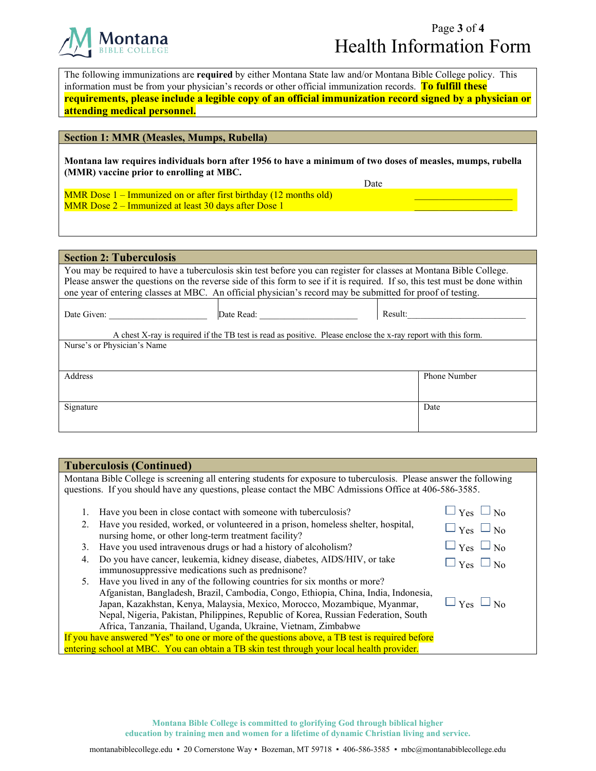

## Page **3** of **4**  Health Information Form

 $\overline{\phantom{a}}$  , and the set of the set of the set of the set of the set of the set of the set of the set of the set of the set of the set of the set of the set of the set of the set of the set of the set of the set of the s  $\overline{\phantom{a}}$  , and the set of the set of the set of the set of the set of the set of the set of the set of the set of the set of the set of the set of the set of the set of the set of the set of the set of the set of the s

The following immunizations are **required** by either Montana State law and/or Montana Bible College policy. This information must be from your physician's records or other official immunization records. **To fulfill these requirements, please include a legible copy of an official immunization record signed by a physician or attending medical personnel.**

## **Section 1: MMR (Measles, Mumps, Rubella)**

**Montana law requires individuals born after 1956 to have a minimum of two doses of measles, mumps, rubella (MMR) vaccine prior to enrolling at MBC.**

Date

MMR Dose 1 – Immunized on or after first birthday (12 months old) MMR Dose 2 – Immunized at least 30 days after Dose 1

| <b>Section 2: Tuberculosis</b>                                                                                                                                                                                                                                                                                                                                  |                                                                                                                             |                     |  |  |
|-----------------------------------------------------------------------------------------------------------------------------------------------------------------------------------------------------------------------------------------------------------------------------------------------------------------------------------------------------------------|-----------------------------------------------------------------------------------------------------------------------------|---------------------|--|--|
| You may be required to have a tuberculosis skin test before you can register for classes at Montana Bible College.<br>Please answer the questions on the reverse side of this form to see if it is required. If so, this test must be done within<br>one year of entering classes at MBC. An official physician's record may be submitted for proof of testing. |                                                                                                                             |                     |  |  |
| Date Given:                                                                                                                                                                                                                                                                                                                                                     | Date Read:<br>A chest X-ray is required if the TB test is read as positive. Please enclose the x-ray report with this form. | Result:             |  |  |
| Nurse's or Physician's Name                                                                                                                                                                                                                                                                                                                                     |                                                                                                                             |                     |  |  |
| Address                                                                                                                                                                                                                                                                                                                                                         |                                                                                                                             | <b>Phone Number</b> |  |  |
| Signature                                                                                                                                                                                                                                                                                                                                                       |                                                                                                                             | Date                |  |  |

| <b>Tuberculosis (Continued)</b>                                                                                    |                      |  |  |  |
|--------------------------------------------------------------------------------------------------------------------|----------------------|--|--|--|
| Montana Bible College is screening all entering students for exposure to tuberculosis. Please answer the following |                      |  |  |  |
| questions. If you should have any questions, please contact the MBC Admissions Office at 406-586-3585.             |                      |  |  |  |
| Have you been in close contact with someone with tuberculosis?                                                     | $\Box$ Yes $\Box$ No |  |  |  |
| Have you resided, worked, or volunteered in a prison, homeless shelter, hospital,                                  | $\Box$ Yes $\Box$ No |  |  |  |
| nursing home, or other long-term treatment facility?                                                               |                      |  |  |  |
| Have you used intravenous drugs or had a history of alcoholism?<br>3.                                              | $\Box$ Yes $\Box$ No |  |  |  |
| Do you have cancer, leukemia, kidney disease, diabetes, AIDS/HIV, or take<br>4.                                    | $\Box$ Yes $\Box$ No |  |  |  |
| immunosuppressive medications such as prednisone?                                                                  |                      |  |  |  |
| Have you lived in any of the following countries for six months or more?<br>5.                                     |                      |  |  |  |
| Afganistan, Bangladesh, Brazil, Cambodia, Congo, Ethiopia, China, India, Indonesia,                                |                      |  |  |  |
| $\Box$ Yes $\Box$ No<br>Japan, Kazakhstan, Kenya, Malaysia, Mexico, Morocco, Mozambique, Myanmar,                  |                      |  |  |  |
| Nepal, Nigeria, Pakistan, Philippines, Republic of Korea, Russian Federation, South                                |                      |  |  |  |
| Africa, Tanzania, Thailand, Uganda, Ukraine, Vietnam, Zimbabwe                                                     |                      |  |  |  |
| If you have answered "Yes" to one or more of the questions above, a TB test is required before                     |                      |  |  |  |
| entering school at MBC. You can obtain a TB skin test through your local health provider.                          |                      |  |  |  |

**Montana Bible College is committed to glorifying God through biblical higher education by training men and women for a lifetime of dynamic Christian living and service.**